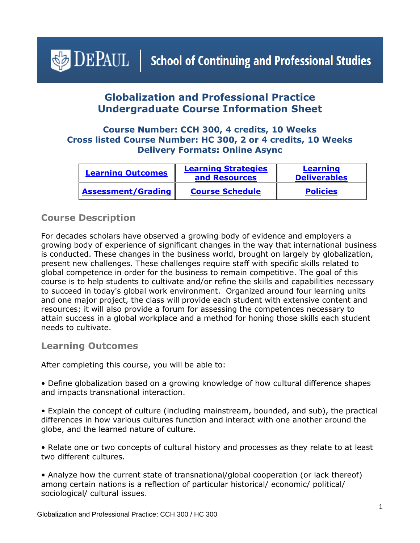# <span id="page-0-1"></span> $\triangle$  DEPAUL | School of Continuing and Professional Studies

# **Globalization and Professional Practice Undergraduate Course Information Sheet**

#### **Course Number: CCH 300, 4 credits, 10 Weeks Cross listed Course Number: HC 300, 2 or 4 credits, 10 Weeks Delivery Formats: Online Async**

| <b>Learning Outcomes</b> | <b>Learning Strategies</b><br>and Resources | Learning<br><b>Deliverables</b> |
|--------------------------|---------------------------------------------|---------------------------------|
| Assessment/Grading       | <b>Course Schedule</b>                      | <b>Policies</b>                 |

#### **Course Description**

For decades scholars have observed a growing body of evidence and employers a growing body of experience of significant changes in the way that international business is conducted. These changes in the business world, brought on largely by globalization, present new challenges. These challenges require staff with specific skills related to global competence in order for the business to remain competitive. The goal of this course is to help students to cultivate and/or refine the skills and capabilities necessary to succeed in today's global work environment. Organized around four learning units and one major project, the class will provide each student with extensive content and resources; it will also provide a forum for assessing the competences necessary to attain success in a global workplace and a method for honing those skills each student needs to cultivate.

#### <span id="page-0-0"></span>**Learning Outcomes**

After completing this course, you will be able to:

• Define globalization based on a growing knowledge of how cultural difference shapes and impacts transnational interaction.

• Explain the concept of culture (including mainstream, bounded, and sub), the practical differences in how various cultures function and interact with one another around the globe, and the learned nature of culture.

• Relate one or two concepts of cultural history and processes as they relate to at least two different cultures.

• Analyze how the current state of transnational/global cooperation (or lack thereof) among certain nations is a reflection of particular historical/ economic/ political/ sociological/ cultural issues.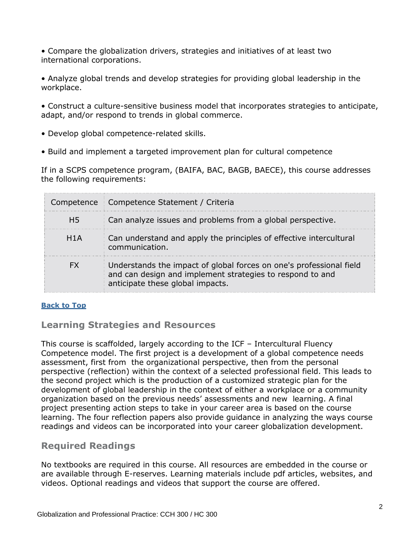• Compare the globalization drivers, strategies and initiatives of at least two international corporations.

- Analyze global trends and develop strategies for providing global leadership in the workplace.
- Construct a culture-sensitive business model that incorporates strategies to anticipate, adapt, and/or respond to trends in global commerce.
- Develop global competence-related skills.
- Build and implement a targeted improvement plan for cultural competence

If in a SCPS competence program, (BAIFA, BAC, BAGB, BAECE), this course addresses the following requirements:

|     | Competence   Competence Statement / Criteria                                                                                                                         |  |
|-----|----------------------------------------------------------------------------------------------------------------------------------------------------------------------|--|
| H5  | Can analyze issues and problems from a global perspective.                                                                                                           |  |
| H1A | Can understand and apply the principles of effective intercultural<br>communication.                                                                                 |  |
|     | Understands the impact of global forces on one's professional field<br>and can design and implement strategies to respond to and<br>anticipate these global impacts. |  |

#### <span id="page-1-0"></span>**[Back to Top](#page-0-1)**

## **Learning Strategies and Resources**

This course is scaffolded, largely according to the ICF – Intercultural Fluency Competence model. The first project is a development of a global competence needs assessment, first from the organizational perspective, then from the personal perspective (reflection) within the context of a selected professional field. This leads to the second project which is the production of a customized strategic plan for the development of global leadership in the context of either a workplace or a community organization based on the previous needs' assessments and new learning. A final project presenting action steps to take in your career area is based on the course learning. The four reflection papers also provide guidance in analyzing the ways course readings and videos can be incorporated into your career globalization development.

## **Required Readings**

No textbooks are required in this course. All resources are embedded in the course or are available through E-reserves. Learning materials include pdf articles, websites, and videos. Optional readings and videos that support the course are offered.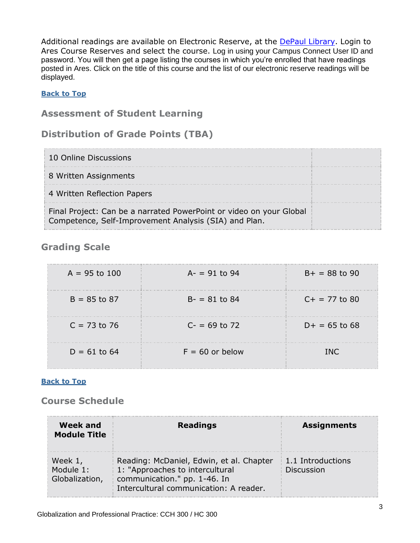Additional readings are available on Electronic Reserve, at the [DePaul Library.](https://library.depaul.edu/services/Pages/Course-Reserves-Services.aspx) Login to Ares Course Reserves and select the course. Log in using your Campus Connect User ID and password. You will then get a page listing the courses in which you're enrolled that have readings posted in Ares. Click on the title of this course and the list of our electronic reserve readings will be displayed.

#### **[Back to Top](#page-0-1)**

#### <span id="page-2-0"></span>**Assessment of Student Learning**

## **Distribution of Grade Points (TBA)**

| 10 Online Discussions                                                                                                        |  |
|------------------------------------------------------------------------------------------------------------------------------|--|
| 8 Written Assignments                                                                                                        |  |
| 4 Written Reflection Papers                                                                                                  |  |
| Final Project: Can be a narrated PowerPoint or video on your Global<br>Competence, Self-Improvement Analysis (SIA) and Plan. |  |

## **Grading Scale**

| $A = 95$ to 100 | $A - = 91$ to 94  | $B+ = 88$ to 90 |
|-----------------|-------------------|-----------------|
| $B = 85$ to 87  | $B - = 81$ to 84  | $C+ = 77$ to 80 |
| $C = 73$ to 76  | $C = 69$ to 72    | $D+ = 65$ to 68 |
| $D = 61$ to 64  | $F = 60$ or below | INC.            |

#### **[Back to Top](#page-0-1)**

## <span id="page-2-1"></span>**Course Schedule**

| <b>Week and</b><br><b>Module Title</b> | <b>Readings</b>                                                                                                                                       | <b>Assignments</b>                     |
|----------------------------------------|-------------------------------------------------------------------------------------------------------------------------------------------------------|----------------------------------------|
| Week 1,<br>Module 1:<br>Globalization, | Reading: McDaniel, Edwin, et al. Chapter<br>1: "Approaches to intercultural<br>communication." pp. 1-46. In<br>Intercultural communication: A reader. | 1.1 Introductions<br><b>Discussion</b> |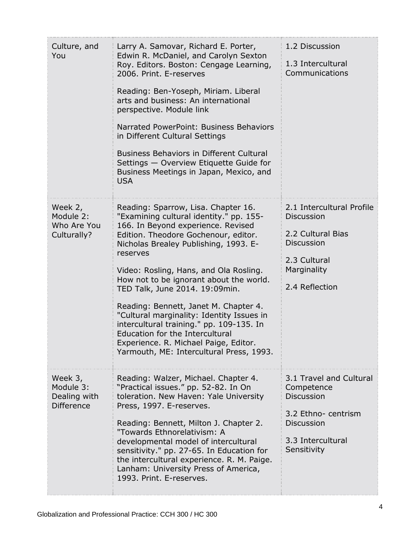| Culture, and<br>You                                       | Larry A. Samovar, Richard E. Porter,<br>Edwin R. McDaniel, and Carolyn Sexton<br>Roy. Editors. Boston: Cengage Learning,<br>2006. Print. E-reserves<br>Reading: Ben-Yoseph, Miriam. Liberal<br>arts and business: An international<br>perspective. Module link<br>Narrated PowerPoint: Business Behaviors<br>in Different Cultural Settings<br><b>Business Behaviors in Different Cultural</b><br>Settings - Overview Etiquette Guide for<br>Business Meetings in Japan, Mexico, and<br><b>USA</b>                                                                                                        | 1.2 Discussion<br>1.3 Intercultural<br>Communications                                                                                     |
|-----------------------------------------------------------|-----------------------------------------------------------------------------------------------------------------------------------------------------------------------------------------------------------------------------------------------------------------------------------------------------------------------------------------------------------------------------------------------------------------------------------------------------------------------------------------------------------------------------------------------------------------------------------------------------------|-------------------------------------------------------------------------------------------------------------------------------------------|
| Week 2,<br>Module 2:<br>Who Are You<br>Culturally?        | Reading: Sparrow, Lisa. Chapter 16.<br>"Examining cultural identity." pp. 155-<br>166. In Beyond experience. Revised<br>Edition. Theodore Gochenour, editor.<br>Nicholas Brealey Publishing, 1993. E-<br>reserves<br>Video: Rosling, Hans, and Ola Rosling.<br>How not to be ignorant about the world.<br>TED Talk, June 2014. 19:09min.<br>Reading: Bennett, Janet M. Chapter 4.<br>"Cultural marginality: Identity Issues in<br>intercultural training." pp. 109-135. In<br><b>Education for the Intercultural</b><br>Experience. R. Michael Paige, Editor.<br>Yarmouth, ME: Intercultural Press, 1993. | 2.1 Intercultural Profile<br><b>Discussion</b><br>2.2 Cultural Bias<br><b>Discussion</b><br>2.3 Cultural<br>Marginality<br>2.4 Reflection |
| Week 3,<br>Module 3:<br>Dealing with<br><b>Difference</b> | Reading: Walzer, Michael. Chapter 4.<br>"Practical issues." pp. 52-82. In On<br>toleration. New Haven: Yale University<br>Press, 1997. E-reserves.<br>Reading: Bennett, Milton J. Chapter 2.<br>"Towards Ethnorelativism: A<br>developmental model of intercultural<br>sensitivity." pp. 27-65. In Education for<br>the intercultural experience. R. M. Paige.<br>Lanham: University Press of America,<br>1993. Print. E-reserves.                                                                                                                                                                        | 3.1 Travel and Cultural<br>Competence<br><b>Discussion</b><br>3.2 Ethno-centrism<br><b>Discussion</b><br>3.3 Intercultural<br>Sensitivity |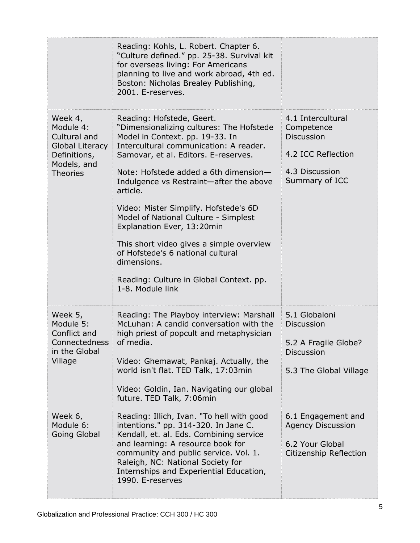|                                                                                                                  | Reading: Kohls, L. Robert. Chapter 6.<br>"Culture defined." pp. 25-38. Survival kit<br>for overseas living: For Americans<br>planning to live and work abroad, 4th ed.<br>Boston: Nicholas Brealey Publishing,<br>2001. E-reserves.                                                                                                                                                                                                                                                                                                                                      |                                                                                                                |
|------------------------------------------------------------------------------------------------------------------|--------------------------------------------------------------------------------------------------------------------------------------------------------------------------------------------------------------------------------------------------------------------------------------------------------------------------------------------------------------------------------------------------------------------------------------------------------------------------------------------------------------------------------------------------------------------------|----------------------------------------------------------------------------------------------------------------|
| Week 4,<br>Module 4:<br>Cultural and<br><b>Global Literacy</b><br>Definitions,<br>Models, and<br><b>Theories</b> | Reading: Hofstede, Geert.<br>"Dimensionalizing cultures: The Hofstede<br>Model in Context. pp. 19-33. In<br>Intercultural communication: A reader.<br>Samovar, et al. Editors. E-reserves.<br>Note: Hofstede added a 6th dimension-<br>Indulgence vs Restraint-after the above<br>article.<br>Video: Mister Simplify. Hofstede's 6D<br>Model of National Culture - Simplest<br>Explanation Ever, 13:20min<br>This short video gives a simple overview<br>of Hofstede's 6 national cultural<br>dimensions.<br>Reading: Culture in Global Context. pp.<br>1-8. Module link | 4.1 Intercultural<br>Competence<br><b>Discussion</b><br>4.2 ICC Reflection<br>4.3 Discussion<br>Summary of ICC |
| Week 5,<br>Module 5:<br>Conflict and<br>Connectedness<br>in the Global<br>Village                                | Reading: The Playboy interview: Marshall<br>McLuhan: A candid conversation with the<br>high priest of popcult and metaphysician<br>of media<br>Video: Ghemawat, Pankaj. Actually, the<br>world isn't flat. TED Talk, 17:03min<br>Video: Goldin, Ian. Navigating our global<br>future. TED Talk, 7:06min                                                                                                                                                                                                                                                                  | 5.1 Globaloni<br><b>Discussion</b><br>5.2 A Fragile Globe?<br><b>Discussion</b><br>5.3 The Global Village      |
| Week 6,<br>Module 6:<br>Going Global                                                                             | Reading: Illich, Ivan. "To hell with good<br>intentions." pp. 314-320. In Jane C.<br>Kendall, et. al. Eds. Combining service<br>and learning: A resource book for<br>community and public service. Vol. 1.<br>Raleigh, NC: National Society for<br>Internships and Experiential Education,<br>1990. E-reserves                                                                                                                                                                                                                                                           | 6.1 Engagement and<br><b>Agency Discussion</b><br>6.2 Your Global<br>Citizenship Reflection                    |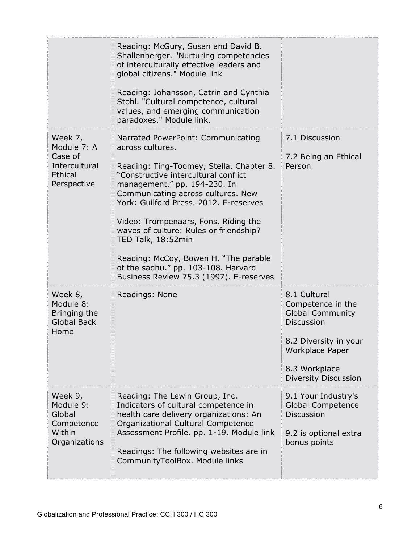|                                                                              | Reading: McGury, Susan and David B.<br>Shallenberger. "Nurturing competencies<br>of interculturally effective leaders and<br>global citizens." Module link<br>Reading: Johansson, Catrin and Cynthia                                                                                                                                                               |                                                                                                                                                                                      |
|------------------------------------------------------------------------------|--------------------------------------------------------------------------------------------------------------------------------------------------------------------------------------------------------------------------------------------------------------------------------------------------------------------------------------------------------------------|--------------------------------------------------------------------------------------------------------------------------------------------------------------------------------------|
|                                                                              | Stohl. "Cultural competence, cultural<br>values, and emerging communication<br>paradoxes." Module link.                                                                                                                                                                                                                                                            |                                                                                                                                                                                      |
| Week 7,<br>Module 7: A<br>Case of<br>Intercultural<br>Ethical<br>Perspective | Narrated PowerPoint: Communicating<br>across cultures.<br>Reading: Ting-Toomey, Stella. Chapter 8.<br>"Constructive intercultural conflict<br>management." pp. 194-230. In<br>Communicating across cultures. New<br>York: Guilford Press, 2012, E-reserves<br>Video: Trompenaars, Fons. Riding the<br>waves of culture: Rules or friendship?<br>TED Talk, 18:52min | 7.1 Discussion<br>7.2 Being an Ethical<br>Person                                                                                                                                     |
|                                                                              | Reading: McCoy, Bowen H. "The parable<br>of the sadhu." pp. 103-108. Harvard<br>Business Review 75.3 (1997). E-reserves                                                                                                                                                                                                                                            |                                                                                                                                                                                      |
| Week 8,<br>Module 8:<br>Bringing the<br><b>Global Back</b><br>Home           | Readings: None                                                                                                                                                                                                                                                                                                                                                     | 8.1 Cultural<br>Competence in the<br><b>Global Community</b><br><b>Discussion</b><br>8.2 Diversity in your<br><b>Workplace Paper</b><br>8.3 Workplace<br><b>Diversity Discussion</b> |
| Week 9,<br>Module 9:<br>Global<br>Competence<br>Within<br>Organizations      | Reading: The Lewin Group, Inc.<br>Indicators of cultural competence in<br>health care delivery organizations: An<br>Organizational Cultural Competence<br>Assessment Profile. pp. 1-19. Module link<br>Readings: The following websites are in<br>CommunityToolBox. Module links                                                                                   | 9.1 Your Industry's<br><b>Global Competence</b><br><b>Discussion</b><br>9.2 is optional extra<br>bonus points                                                                        |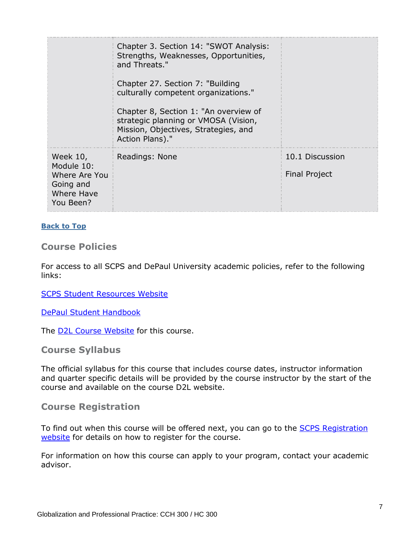|                                                                                 | Chapter 3. Section 14: "SWOT Analysis:<br>Strengths, Weaknesses, Opportunities,<br>and Threats."                                         |                                         |
|---------------------------------------------------------------------------------|------------------------------------------------------------------------------------------------------------------------------------------|-----------------------------------------|
|                                                                                 | Chapter 27. Section 7: "Building<br>culturally competent organizations."                                                                 |                                         |
|                                                                                 | Chapter 8, Section 1: "An overview of<br>strategic planning or VMOSA (Vision,<br>Mission, Objectives, Strategies, and<br>Action Plans)." |                                         |
| Week 10,<br>Module 10:<br>Where Are You<br>Going and<br>Where Have<br>You Been? | Readings: None                                                                                                                           | 10.1 Discussion<br><b>Final Project</b> |

#### **[Back to Top](#page-0-1)**

#### <span id="page-6-0"></span>**Course Policies**

For access to all SCPS and DePaul University academic policies, refer to the following links:

[SCPS Student Resources Website](https://scps.depaul.edu/student-resources/Pages/default.aspx)

[DePaul Student Handbook](https://catalog.depaul.edu/student-handbooks/)

The **D2L Course Website** for this course.

**Course Syllabus**

The official syllabus for this course that includes course dates, instructor information and quarter specific details will be provided by the course instructor by the start of the course and available on the course D2L website.

#### **Course Registration**

To find out when this course will be offered next, you can go to the **SCPS Registration** [website](https://scps.depaul.edu/academics/registration/Pages/Undergraduate-Registration-Information.aspx) for details on how to register for the course.

For information on how this course can apply to your program, contact your academic advisor.